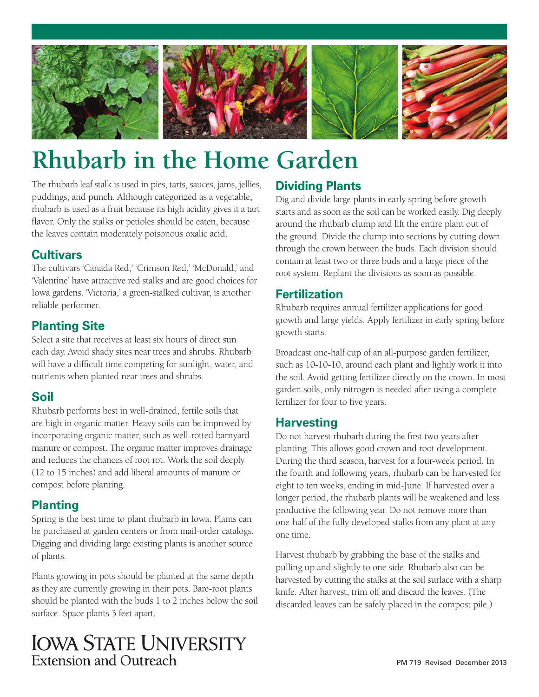

# **Rhubarb in the Home Garden**

The rhubarb leaf stalk is used in pies, tarts, sauces, jams, jellies, puddings, and punch. Although categorized as a vegetable, rhubarb is used as a fruit because its high acidity gives it a tart flavor. Only the stalks or petioles should be eaten, because the leaves contain moderately poisonous oxalic acid.

#### **Cultivars**

The cultivars 'Canada Red,' 'Crimson Red,' 'McDonald,' and 'Valentine' have attractive red stalks and are good choices for Iowa gardens. 'Victoria,' a green-stalked cultivar, is another reliable performer.

#### **Planting Site**

Select a site that receives at least six hours of direct sun each day. Avoid shady sites near trees and shrubs. Rhubarb will have a difficult time competing for sunlight, water, and nutrients when planted near trees and shrubs.

#### **Soil**

Rhubarb performs best in well-drained, fertile soils that are high in organic matter. Heavy soils can be improved by incorporating organic matter, such as well-rotted barnyard manure or compost. The organic matter improves drainage and reduces the chances of root rot. Work the soil deeply (12 to 15 inches) and add liberal amounts of manure or compost before planting.

#### **Planting**

Spring is the best time to plant rhubarb in Iowa. Plants can be purchased at garden centers or from mail-order catalogs. Digging and dividing large existing plants is another source of plants.

Plants growing in pots should be planted at the same depth as they are currently growing in their pots. Bare-root plants should be planted with the buds 1 to 2 inches below the soil surface. Space plants 3 feet apart.

### **Dividing Plants**

Dig and divide large plants in early spring before growth starts and as soon as the soil can be worked easily. Dig deeply around the rhubarb clump and lift the entire plant out of the ground. Divide the clump into sections by cutting down through the crown between the buds. Each division should contain at least two or three buds and a large piece of the root system. Replant the divisions as soon as possible.

#### **Fertilization**

Rhubarb requires annual fertilizer applications for good growth and large yields. Apply fertilizer in early spring before growth starts.

Broadcast one-half cup of an all-purpose garden fertilizer, such as 10-10-10, around each plant and lightly work it into the soil. Avoid getting fertilizer directly on the crown. In most garden soils, only nitrogen is needed after using a complete fertilizer for four to five years.

#### **Harvesting**

Do not harvest rhubarb during the first two years after planting. This allows good crown and root development. During the third season, harvest for a four-week period. In the fourth and following years, rhubarb can be harvested for eight to ten weeks, ending in mid-June. If harvested over a longer period, the rhubarb plants will be weakened and less productive the following year. Do not remove more than one-half of the fully developed stalks from any plant at any one time.

Harvest rhubarb by grabbing the base of the stalks and pulling up and slightly to one side. Rhubarb also can be harvested by cutting the stalks at the soil surface with a sharp knife. After harvest, trim off and discard the leaves. (The discarded leaves can be safely placed in the compost pile.)

## **IOWA STATE UNIVERSITY** Extension and Outreach